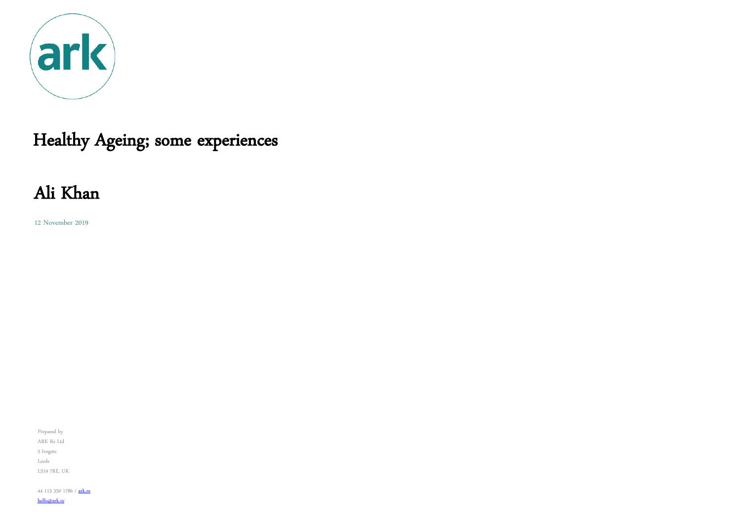

# Healthy Ageing; some experiences

12 November 2019

Prepared by ARK Re Ltd 5 Ivegate Leeds LS19 7RE, UK

44 113 350 1786 / [ark.re](http://ark.re/)

[hello@ark.re](mailto:ali.khan@ark.re)

# Ali Khan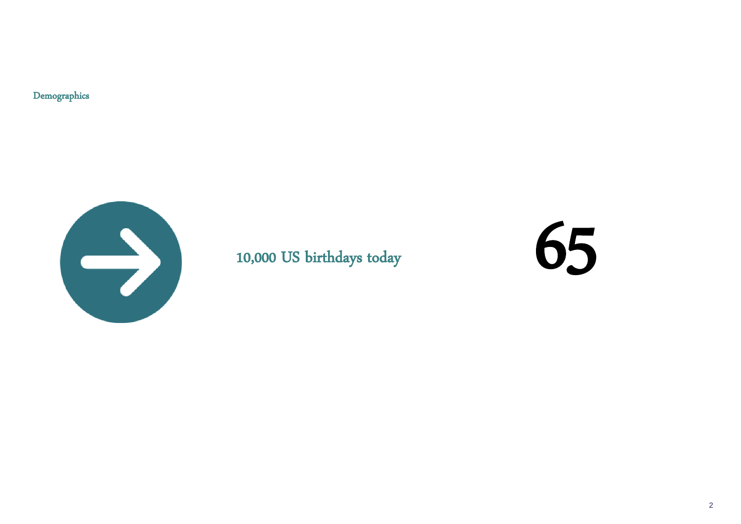## 10,000 US birthdays today



Demographics

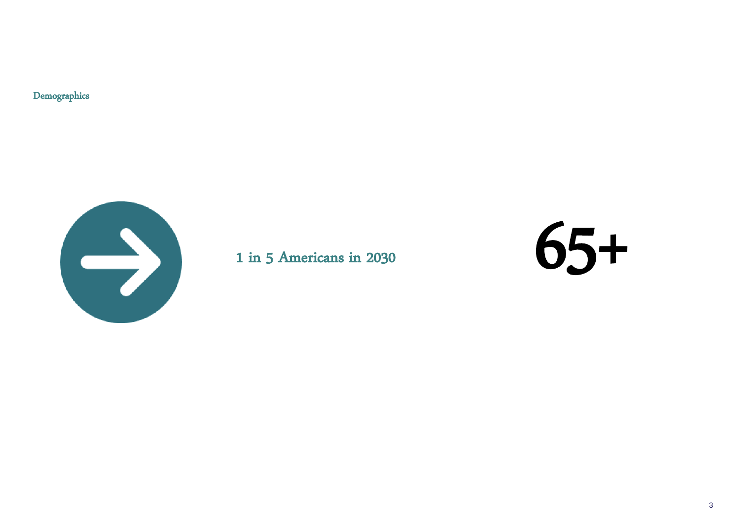Demographics



### 1 in 5 Americans in 2030

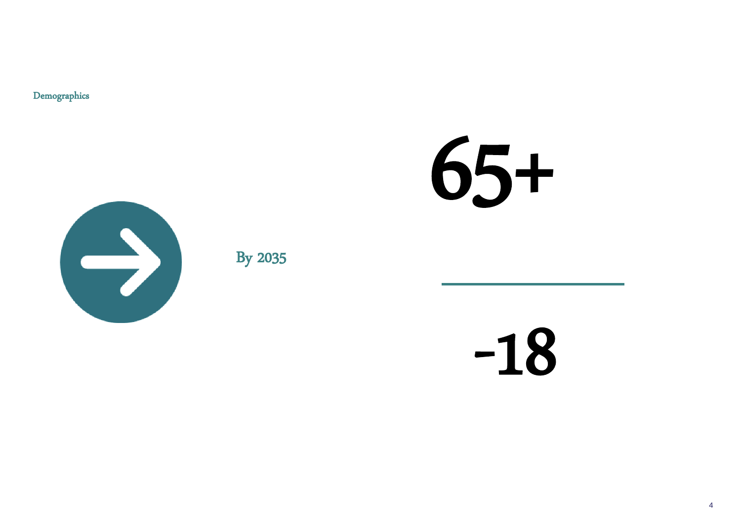Demographics



**By 2035** 



 $-18$ 

 $\overline{4}$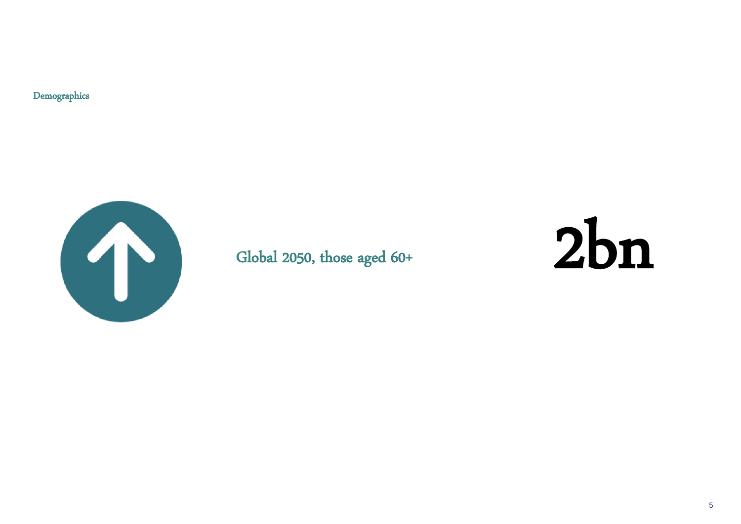Demographics



## Global 2050, those aged 60+

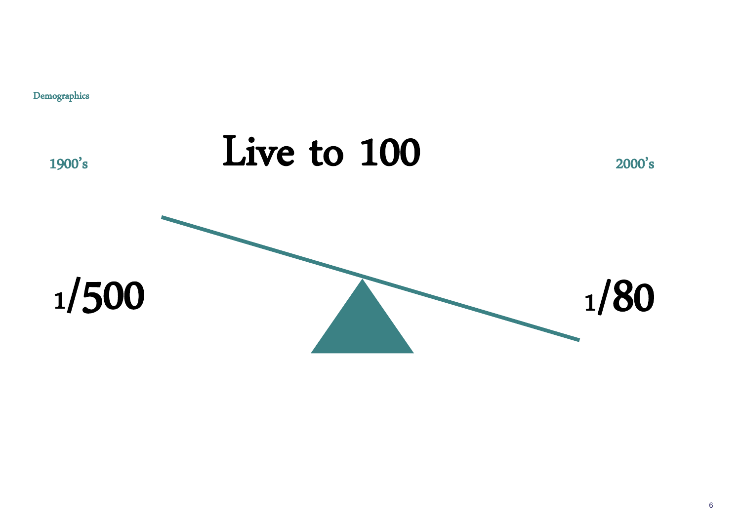1900's

<sup>1</sup>/500

Demographics



# <sup>1</sup>/80

# Live to 100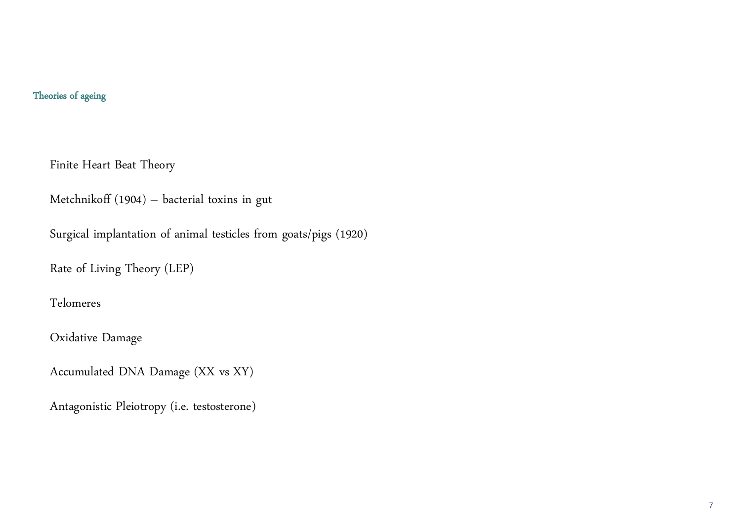#### Theories of ageing

7

Finite Heart Beat Theory

Metchnikoff (1904) – bacterial toxins in gut

Surgical implantation of animal testicles from goats/pigs (1920)

Rate of Living Theory (LEP)

Telomeres

Oxidative Damage

Accumulated DNA Damage (XX vs XY)

Antagonistic Pleiotropy (i.e. testosterone)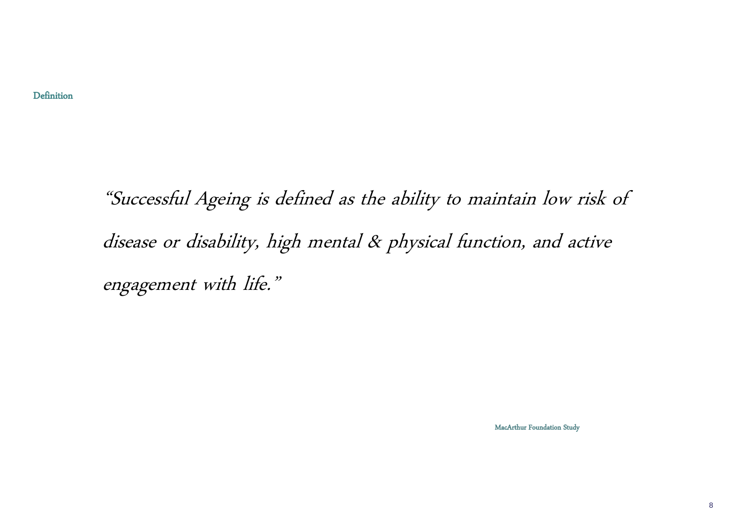"Successful Ageing is defined as the ability to maintain low risk of disease or disability, high mental & physical function, and active engagement with life."

MacArthur Foundation Study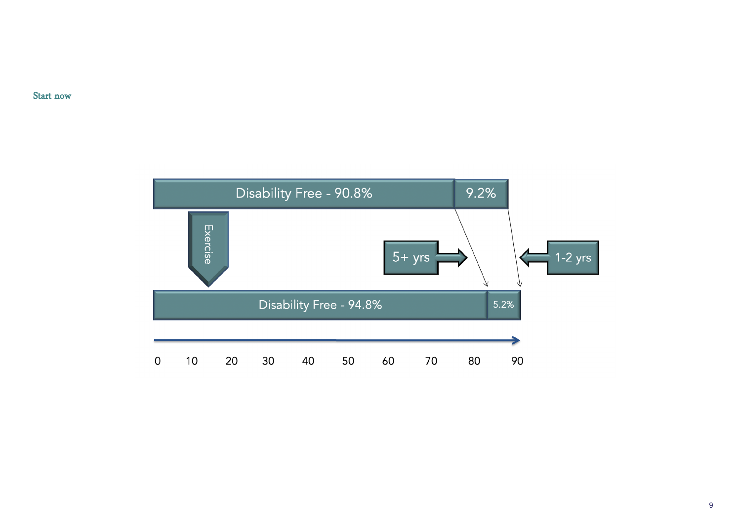Start now



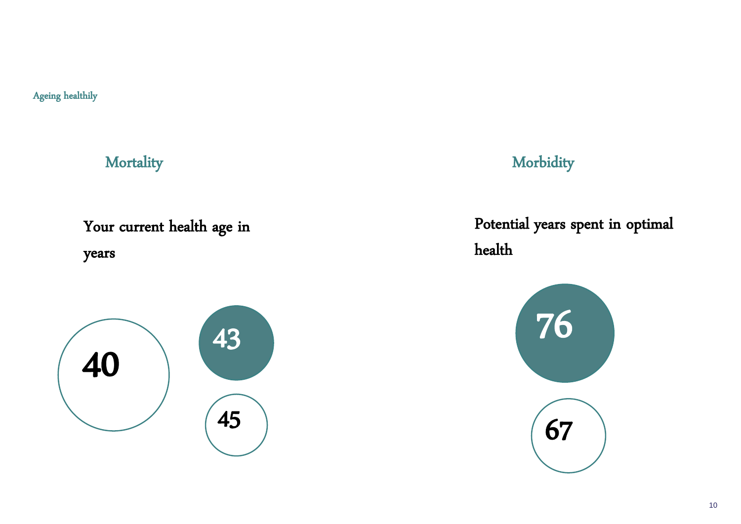Ageing healthily

**Mortality** Your current health age in years 76 43

## Potential years spent in optimal



health



**Morbidity** 

67

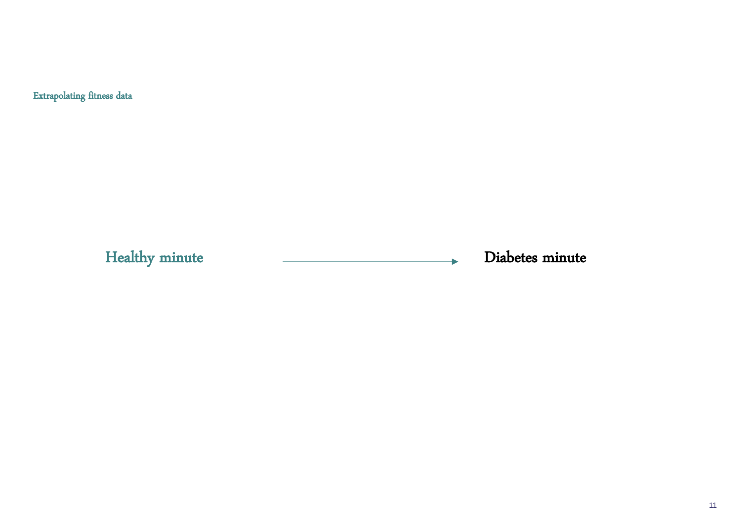Extrapolating fitness data

Healthy minute and a controller controller and the Diabetes minute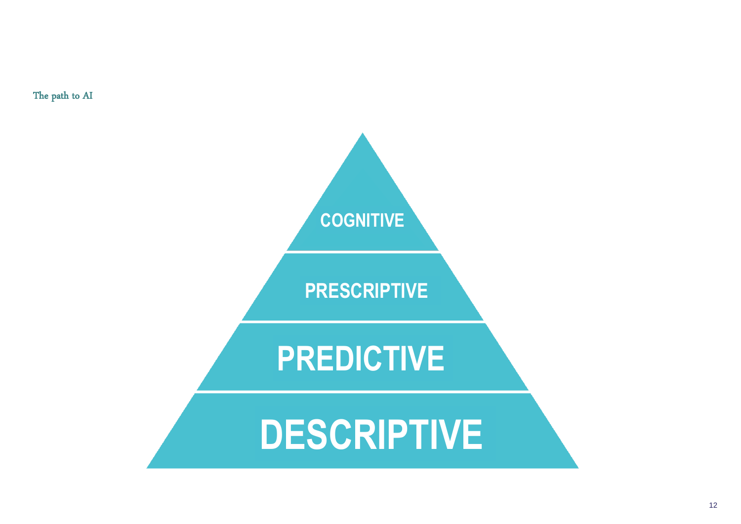

The path to AI

# **DESCRIPTIVE**

# **PREDICTIVE**

# **PRESCRIPTIVE**

**COGNITIVE**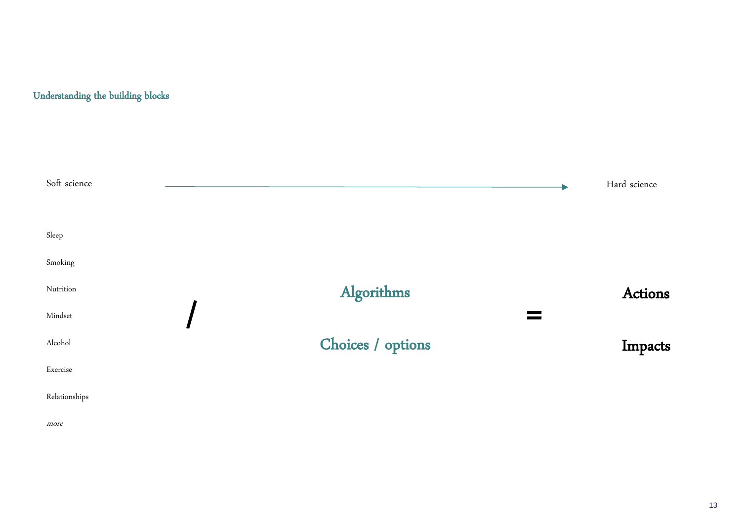| Soft science  |                   | Hard science |
|---------------|-------------------|--------------|
|               |                   |              |
| Sleep         |                   |              |
| Smoking       |                   |              |
| Nutrition     | Algorithms        | <b>Actio</b> |
| Mindset       |                   |              |
| Alcohol       | Choices / options | Impa         |
| Exercise      |                   |              |
| Relationships |                   |              |
| more          |                   |              |

#### Understanding the building blocks

## Actions

# Impacts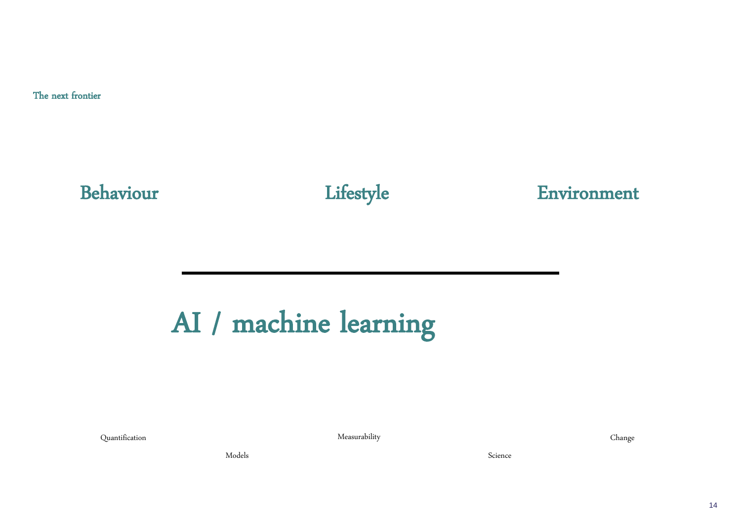The next frontier

# Behaviour Lifestyle Environment

# AI / machine learning

Quantification Measurability Change

Models Science Research of the Science Science Science Science Science Science Science Science Science Science